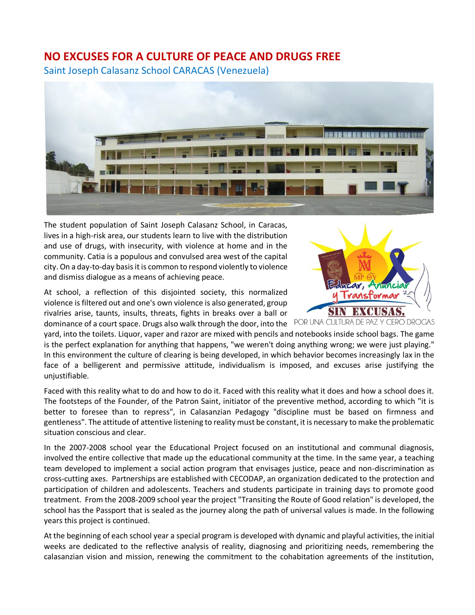## **NO EXCUSES FOR A CULTURE OF PEACE AND DRUGS FREE**

Saint Joseph Calasanz School CARACAS (Venezuela)



The student population of Saint Joseph Calasanz School, in Caracas, lives in a high-risk area, our students learn to live with the distribution and use of drugs, with insecurity, with violence at home and in the community. Catia is a populous and convulsed area west of the capital city. On a day-to-day basis it is common to respond violently to violence and dismiss dialogue as a means of achieving peace.

At school, a reflection of this disjointed society, this normalized violence is filtered out and one's own violence is also generated, group rivalries arise, taunts, insults, threats, fights in breaks over a ball or dominance of a court space. Drugs also walk through the door, into the POR UNA CULTURA DE PAZ



yard, into the toilets. Liquor, vaper and razor are mixed with pencils and notebooks inside school bags. The game is the perfect explanation for anything that happens, "we weren't doing anything wrong; we were just playing." In this environment the culture of clearing is being developed, in which behavior becomes increasingly lax in the face of a belligerent and permissive attitude, individualism is imposed, and excuses arise justifying the unjustifiable.

Faced with this reality what to do and how to do it. Faced with this reality what it does and how a school does it. The footsteps of the Founder, of the Patron Saint, initiator of the preventive method, according to which "it is better to foresee than to repress", in Calasanzian Pedagogy "discipline must be based on firmness and gentleness". The attitude of attentive listening to reality must be constant, it is necessary to make the problematic situation conscious and clear.

In the 2007-2008 school year the Educational Project focused on an institutional and communal diagnosis, involved the entire collective that made up the educational community at the time. In the same year, a teaching team developed to implement a social action program that envisages justice, peace and non-discrimination as cross-cutting axes. Partnerships are established with CECODAP, an organization dedicated to the protection and participation of children and adolescents. Teachers and students participate in training days to promote good treatment. From the 2008-2009 school year the project "Transiting the Route of Good relation" is developed, the school has the Passport that is sealed as the journey along the path of universal values is made. In the following years this project is continued.

At the beginning of each school year a special program is developed with dynamic and playful activities, the initial weeks are dedicated to the reflective analysis of reality, diagnosing and prioritizing needs, remembering the calasanzian vision and mission, renewing the commitment to the cohabitation agreements of the institution,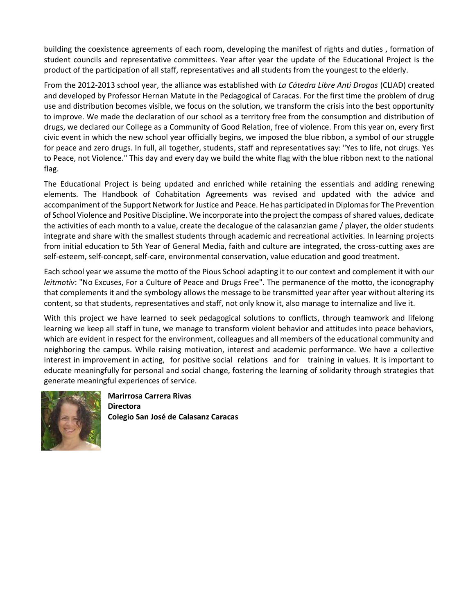building the coexistence agreements of each room, developing the manifest of rights and duties , formation of student councils and representative committees. Year after year the update of the Educational Project is the product of the participation of all staff, representatives and all students from the youngest to the elderly.

From the 2012-2013 school year, the alliance was established with *La Cátedra Libre Anti Drogas* (CLIAD) created and developed by Professor Hernan Matute in the Pedagogical of Caracas. For the first time the problem of drug use and distribution becomes visible, we focus on the solution, we transform the crisis into the best opportunity to improve. We made the declaration of our school as a territory free from the consumption and distribution of drugs, we declared our College as a Community of Good Relation, free of violence. From this year on, every first civic event in which the new school year officially begins, we imposed the blue ribbon, a symbol of our struggle for peace and zero drugs. In full, all together, students, staff and representatives say: "Yes to life, not drugs. Yes to Peace, not Violence." This day and every day we build the white flag with the blue ribbon next to the national flag.

The Educational Project is being updated and enriched while retaining the essentials and adding renewing elements. The Handbook of Cohabitation Agreements was revised and updated with the advice and accompaniment of the Support Network for Justice and Peace. He has participated in Diplomas for The Prevention of School Violence and Positive Discipline. We incorporate into the project the compass of shared values, dedicate the activities of each month to a value, create the decalogue of the calasanzian game / player, the older students integrate and share with the smallest students through academic and recreational activities. In learning projects from initial education to 5th Year of General Media, faith and culture are integrated, the cross-cutting axes are self-esteem, self-concept, self-care, environmental conservation, value education and good treatment.

Each school year we assume the motto of the Pious School adapting it to our context and complement it with our *leitmotiv*: "No Excuses, For a Culture of Peace and Drugs Free". The permanence of the motto, the iconography that complements it and the symbology allows the message to be transmitted year after year without altering its content, so that students, representatives and staff, not only know it, also manage to internalize and live it.

With this project we have learned to seek pedagogical solutions to conflicts, through teamwork and lifelong learning we keep all staff in tune, we manage to transform violent behavior and attitudes into peace behaviors, which are evident in respect for the environment, colleagues and all members of the educational community and neighboring the campus. While raising motivation, interest and academic performance. We have a collective interest in improvement in acting, for positive social relations and for training in values. It is important to educate meaningfully for personal and social change, fostering the learning of solidarity through strategies that generate meaningful experiences of service.



**Marirrosa Carrera Rivas Directora Colegio San José de Calasanz Caracas**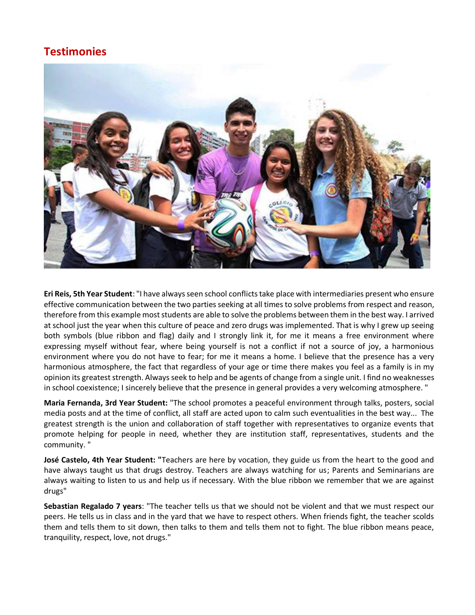## **Testimonies**



**Eri Reis, 5th Year Student**: "I have always seen school conflicts take place with intermediaries present who ensure effective communication between the two parties seeking at all times to solve problems from respect and reason, therefore from this example most students are able to solve the problems between them in the best way. I arrived at school just the year when this culture of peace and zero drugs was implemented. That is why I grew up seeing both symbols (blue ribbon and flag) daily and I strongly link it, for me it means a free environment where expressing myself without fear, where being yourself is not a conflict if not a source of joy, a harmonious environment where you do not have to fear; for me it means a home. I believe that the presence has a very harmonious atmosphere, the fact that regardless of your age or time there makes you feel as a family is in my opinion its greatest strength. Always seek to help and be agents of change from a single unit. I find no weaknesses in school coexistence; I sincerely believe that the presence in general provides a very welcoming atmosphere. "

**Maria Fernanda, 3rd Year Student:** "The school promotes a peaceful environment through talks, posters, social media posts and at the time of conflict, all staff are acted upon to calm such eventualities in the best way... The greatest strength is the union and collaboration of staff together with representatives to organize events that promote helping for people in need, whether they are institution staff, representatives, students and the community. "

**José Castelo, 4th Year Student: "**Teachers are here by vocation, they guide us from the heart to the good and have always taught us that drugs destroy. Teachers are always watching for us; Parents and Seminarians are always waiting to listen to us and help us if necessary. With the blue ribbon we remember that we are against drugs"

**Sebastian Regalado 7 years**: "The teacher tells us that we should not be violent and that we must respect our peers. He tells us in class and in the yard that we have to respect others. When friends fight, the teacher scolds them and tells them to sit down, then talks to them and tells them not to fight. The blue ribbon means peace, tranquility, respect, love, not drugs."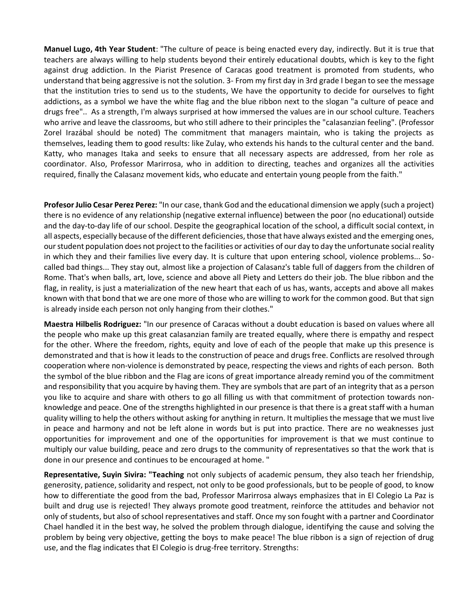**Manuel Lugo, 4th Year Student**: "The culture of peace is being enacted every day, indirectly. But it is true that teachers are always willing to help students beyond their entirely educational doubts, which is key to the fight against drug addiction. In the Piarist Presence of Caracas good treatment is promoted from students, who understand that being aggressive is not the solution. 3- From my first day in 3rd grade I began to see the message that the institution tries to send us to the students, We have the opportunity to decide for ourselves to fight addictions, as a symbol we have the white flag and the blue ribbon next to the slogan "a culture of peace and drugs free".. As a strength, I'm always surprised at how immersed the values are in our school culture. Teachers who arrive and leave the classrooms, but who still adhere to their principles the "calasanzian feeling". (Professor Zorel Irazábal should be noted) The commitment that managers maintain, who is taking the projects as themselves, leading them to good results: like Zulay, who extends his hands to the cultural center and the band. Katty, who manages Itaka and seeks to ensure that all necessary aspects are addressed, from her role as coordinator. Also, Professor Marirrosa, who in addition to directing, teaches and organizes all the activities required, finally the Calasanz movement kids, who educate and entertain young people from the faith."

**Profesor Julio Cesar Perez Perez:** "In our case, thank God and the educational dimension we apply (such a project) there is no evidence of any relationship (negative external influence) between the poor (no educational) outside and the day-to-day life of our school. Despite the geographical location of the school, a difficult social context, in all aspects, especially because of the different deficiencies, those that have always existed and the emerging ones, our student population does not project to the facilities or activities of our day to day the unfortunate social reality in which they and their families live every day. It is culture that upon entering school, violence problems... Socalled bad things... They stay out, almost like a projection of Calasanz's table full of daggers from the children of Rome. That's when balls, art, love, science and above all Piety and Letters do their job. The blue ribbon and the flag, in reality, is just a materialization of the new heart that each of us has, wants, accepts and above all makes known with that bond that we are one more of those who are willing to work for the common good. But that sign is already inside each person not only hanging from their clothes."

**Maestra Hilbelis Rodriguez:** "In our presence of Caracas without a doubt education is based on values where all the people who make up this great calasanzian family are treated equally, where there is empathy and respect for the other. Where the freedom, rights, equity and love of each of the people that make up this presence is demonstrated and that is how it leads to the construction of peace and drugs free. Conflicts are resolved through cooperation where non-violence is demonstrated by peace, respecting the views and rights of each person. Both the symbol of the blue ribbon and the Flag are icons of great importance already remind you of the commitment and responsibility that you acquire by having them. They are symbols that are part of an integrity that as a person you like to acquire and share with others to go all filling us with that commitment of protection towards nonknowledge and peace. One of the strengths highlighted in our presence is that there is a great staff with a human quality willing to help the others without asking for anything in return. It multiplies the message that we must live in peace and harmony and not be left alone in words but is put into practice. There are no weaknesses just opportunities for improvement and one of the opportunities for improvement is that we must continue to multiply our value building, peace and zero drugs to the community of representatives so that the work that is done in our presence and continues to be encouraged at home. "

**Representative, Suyin Sivira: "Teaching** not only subjects of academic pensum, they also teach her friendship, generosity, patience, solidarity and respect, not only to be good professionals, but to be people of good, to know how to differentiate the good from the bad, Professor Marirrosa always emphasizes that in El Colegio La Paz is built and drug use is rejected! They always promote good treatment, reinforce the attitudes and behavior not only of students, but also of school representatives and staff. Once my son fought with a partner and Coordinator Chael handled it in the best way, he solved the problem through dialogue, identifying the cause and solving the problem by being very objective, getting the boys to make peace! The blue ribbon is a sign of rejection of drug use, and the flag indicates that El Colegio is drug-free territory. Strengths: